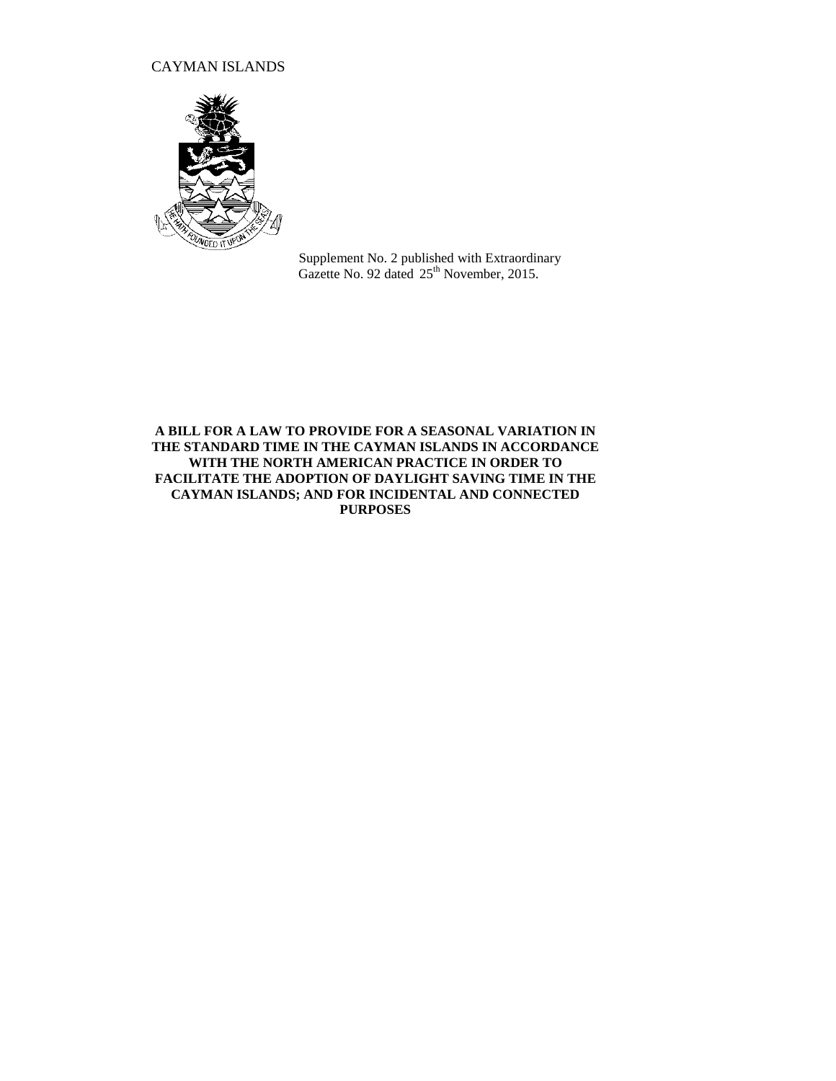## CAYMAN ISLANDS



Supplement No. 2 published with Extraordinary Gazette No. 92 dated 25<sup>th</sup> November, 2015.

### **A BILL FOR A LAW TO PROVIDE FOR A SEASONAL VARIATION IN THE STANDARD TIME IN THE CAYMAN ISLANDS IN ACCORDANCE WITH THE NORTH AMERICAN PRACTICE IN ORDER TO FACILITATE THE ADOPTION OF DAYLIGHT SAVING TIME IN THE CAYMAN ISLANDS; AND FOR INCIDENTAL AND CONNECTED PURPOSES**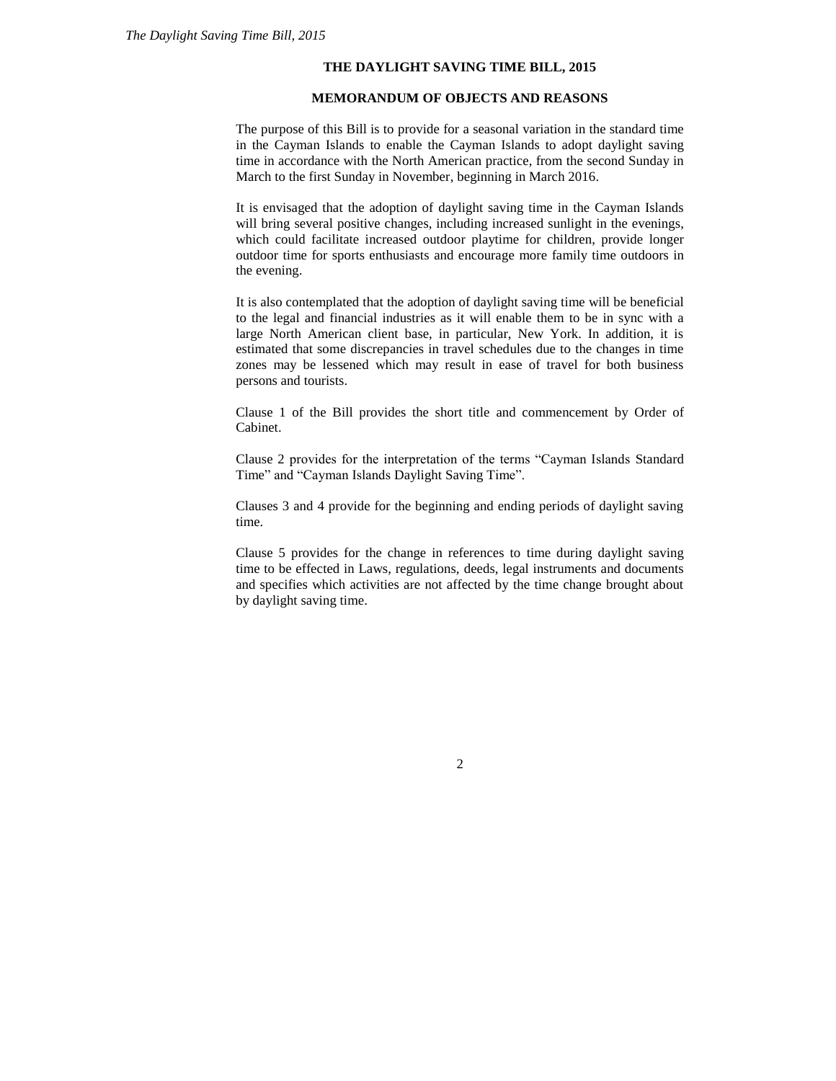#### **THE DAYLIGHT SAVING TIME BILL, 2015**

### **MEMORANDUM OF OBJECTS AND REASONS**

The purpose of this Bill is to provide for a seasonal variation in the standard time in the Cayman Islands to enable the Cayman Islands to adopt daylight saving time in accordance with the North American practice, from the second Sunday in March to the first Sunday in November, beginning in March 2016.

It is envisaged that the adoption of daylight saving time in the Cayman Islands will bring several positive changes, including increased sunlight in the evenings, which could facilitate increased outdoor playtime for children, provide longer outdoor time for sports enthusiasts and encourage more family time outdoors in the evening.

It is also contemplated that the adoption of daylight saving time will be beneficial to the legal and financial industries as it will enable them to be in sync with a large North American client base, in particular, New York. In addition, it is estimated that some discrepancies in travel schedules due to the changes in time zones may be lessened which may result in ease of travel for both business persons and tourists.

Clause 1 of the Bill provides the short title and commencement by Order of Cabinet.

Clause 2 provides for the interpretation of the terms "Cayman Islands Standard Time" and "Cayman Islands Daylight Saving Time".

Clauses 3 and 4 provide for the beginning and ending periods of daylight saving time.

Clause 5 provides for the change in references to time during daylight saving time to be effected in Laws, regulations, deeds, legal instruments and documents and specifies which activities are not affected by the time change brought about by daylight saving time.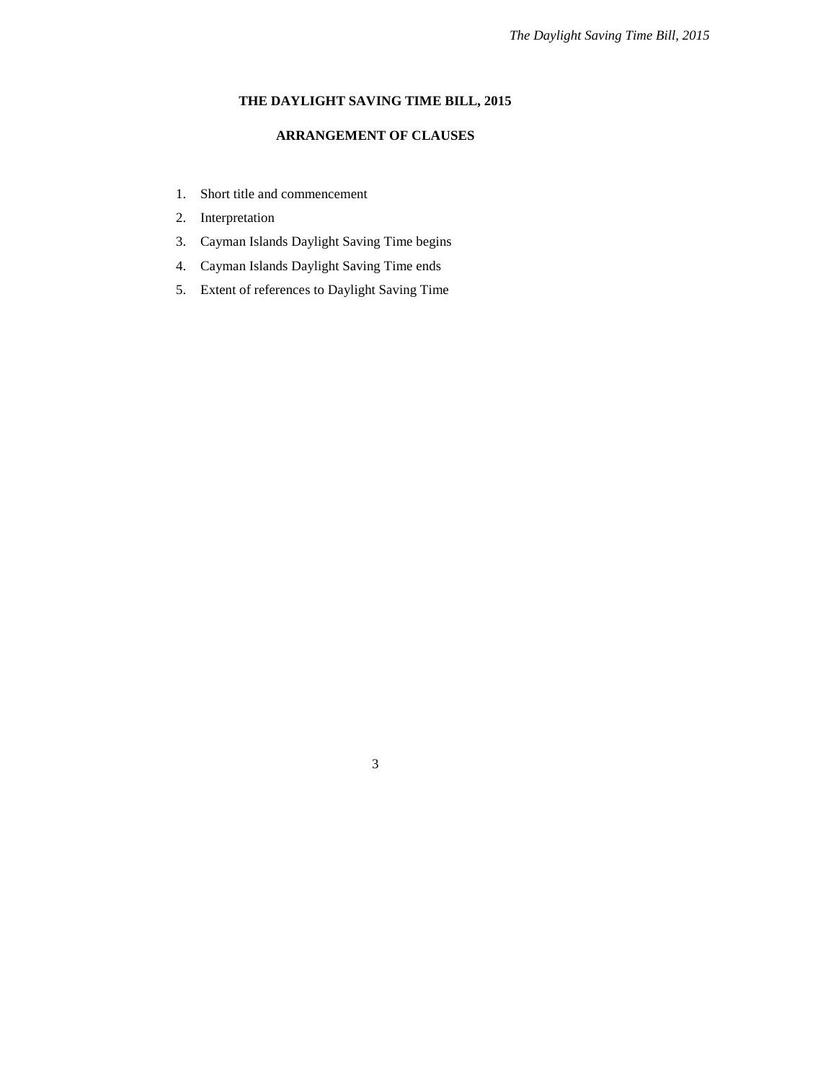# **THE DAYLIGHT SAVING TIME BILL, 2015**

## **ARRANGEMENT OF CLAUSES**

- 1. Short title and commencement
- 2. Interpretation
- 3. Cayman Islands Daylight Saving Time begins
- 4. Cayman Islands Daylight Saving Time ends
- 5. Extent of references to Daylight Saving Time

3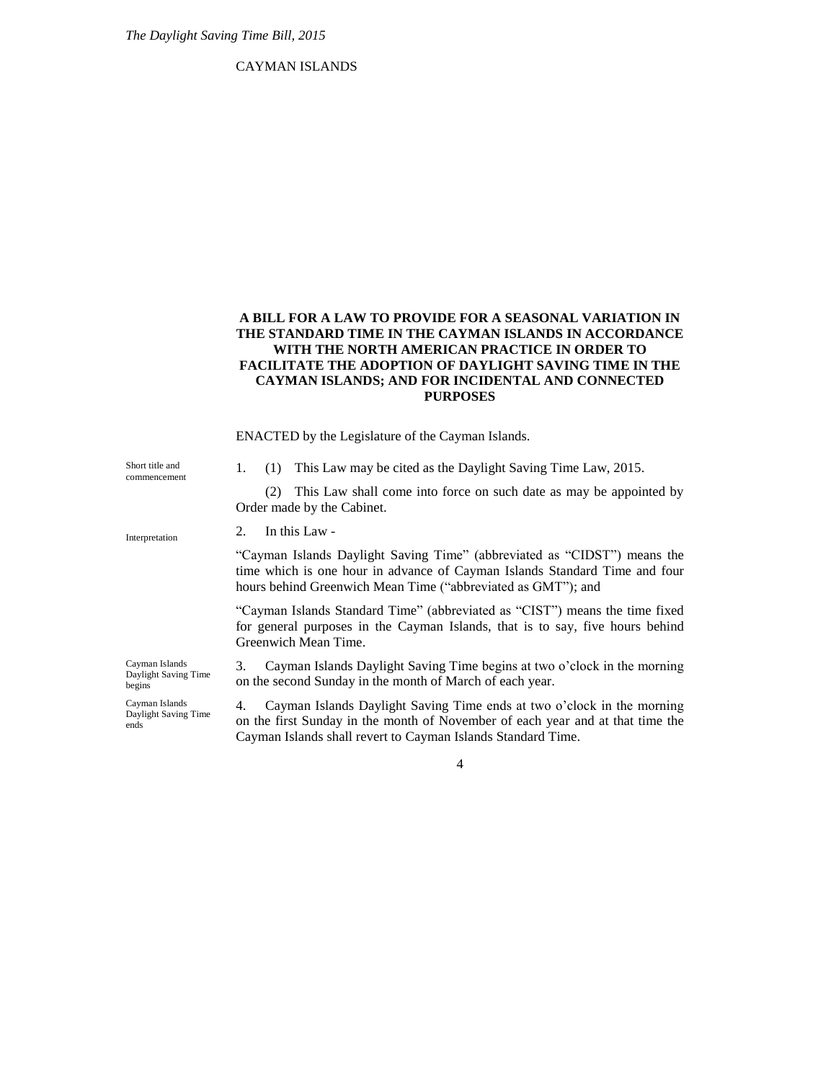### CAYMAN ISLANDS

### **A BILL FOR A LAW TO PROVIDE FOR A SEASONAL VARIATION IN THE STANDARD TIME IN THE CAYMAN ISLANDS IN ACCORDANCE WITH THE NORTH AMERICAN PRACTICE IN ORDER TO FACILITATE THE ADOPTION OF DAYLIGHT SAVING TIME IN THE CAYMAN ISLANDS; AND FOR INCIDENTAL AND CONNECTED PURPOSES**

ENACTED by the Legislature of the Cayman Islands.

1. (1) This Law may be cited as the Daylight Saving Time Law, 2015. (2) This Law shall come into force on such date as may be appointed by Order made by the Cabinet. 2. In this Law - "Cayman Islands Daylight Saving Time" (abbreviated as "CIDST") means the time which is one hour in advance of Cayman Islands Standard Time and four hours behind Greenwich Mean Time ("abbreviated as GMT"); and "Cayman Islands Standard Time" (abbreviated as "CIST") means the time fixed for general purposes in the Cayman Islands, that is to say, five hours behind Greenwich Mean Time. 3. Cayman Islands Daylight Saving Time begins at two o'clock in the morning on the second Sunday in the month of March of each year. 4. Cayman Islands Daylight Saving Time ends at two o'clock in the morning Short title and commencement Interpretation Cayman Islands Daylight Saving Time begins Cayman Islands

on the first Sunday in the month of November of each year and at that time the Cayman Islands shall revert to Cayman Islands Standard Time.

4

Daylight Saving Time ends